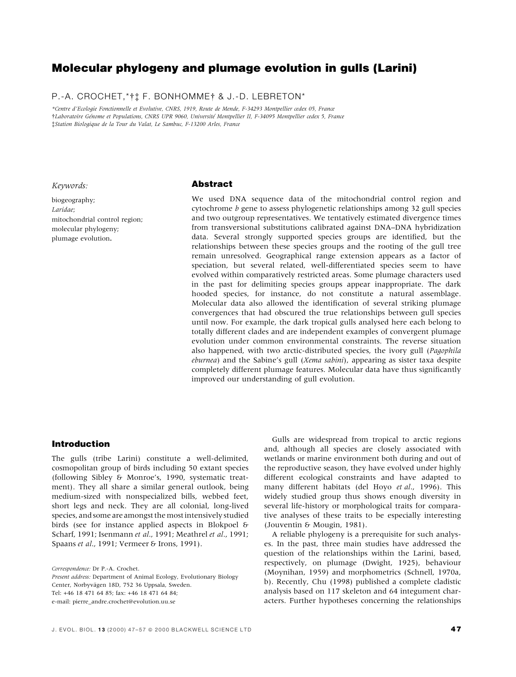# Molecular phylogeny and plumage evolution in gulls (Larini)

P.-A. CROCHET,\*† F. BONHOMME + & J.-D. LEBRETON\*

\*Centre d'Ecologie Fonctionnelle et Evolutive, CNRS, 1919, Route de Mende, F-34293 Montpellier cedex 05, France †Laboratoire Génome et Populations, CNRS UPR 9060, Université Montpellier II, F-34095 Montpellier cedex 5, France àStation Biologique de la Tour du Valat, Le Sambuc, F-13200 Arles, France

#### Keywords:

biogeography; Laridae; mitochondrial control region; molecular phylogeny; plumage evolution.

## Abstract

We used DNA sequence data of the mitochondrial control region and cytochrome b gene to assess phylogenetic relationships among 32 gull species and two outgroup representatives. We tentatively estimated divergence times from transversional substitutions calibrated against DNA-DNA hybridization data. Several strongly supported species groups are identified, but the relationships between these species groups and the rooting of the gull tree remain unresolved. Geographical range extension appears as a factor of speciation, but several related, well-differentiated species seem to have evolved within comparatively restricted areas. Some plumage characters used in the past for delimiting species groups appear inappropriate. The dark hooded species, for instance, do not constitute a natural assemblage. Molecular data also allowed the identification of several striking plumage convergences that had obscured the true relationships between gull species until now. For example, the dark tropical gulls analysed here each belong to totally different clades and are independent examples of convergent plumage evolution under common environmental constraints. The reverse situation also happened, with two arctic-distributed species, the ivory gull (Pagophila eburnea) and the Sabine's gull (Xema sabini), appearing as sister taxa despite completely different plumage features. Molecular data have thus significantly improved our understanding of gull evolution.

## Introduction

The gulls (tribe Larini) constitute a well-delimited, cosmopolitan group of birds including 50 extant species (following Sibley & Monroe's, 1990, systematic treatment). They all share a similar general outlook, being medium-sized with nonspecialized bills, webbed feet, short legs and neck. They are all colonial, long-lived species, and some are amongst themost intensively studied birds (see for instance applied aspects in Blokpoel & Scharf, 1991; Isenmann et al., 1991; Meathrel et al., 1991; Spaans et al., 1991; Vermeer & Irons, 1991).

Present address: Department of Animal Ecology, Evolutionary Biology Center, Norbyvägen 18D, 752 36 Uppsala, Sweden. Tel: +46 18 471 64 85; fax: +46 18 471 64 84; e-mail: pierre\_andre.crochet@evolution.uu.se

Gulls are widespread from tropical to arctic regions and, although all species are closely associated with wetlands or marine environment both during and out of the reproductive season, they have evolved under highly different ecological constraints and have adapted to many different habitats (del Hoyo et al., 1996). This widely studied group thus shows enough diversity in several life-history or morphological traits for comparative analyses of these traits to be especially interesting (Jouventin & Mougin, 1981).

A reliable phylogeny is a prerequisite for such analyses. In the past, three main studies have addressed the question of the relationships within the Larini, based, respectively, on plumage (Dwight, 1925), behaviour (Moynihan, 1959) and morphometrics (Schnell, 1970a, b). Recently, Chu (1998) published a complete cladistic analysis based on 117 skeleton and 64 integument characters. Further hypotheses concerning the relationships

Correspondence: Dr P.-A. Crochet.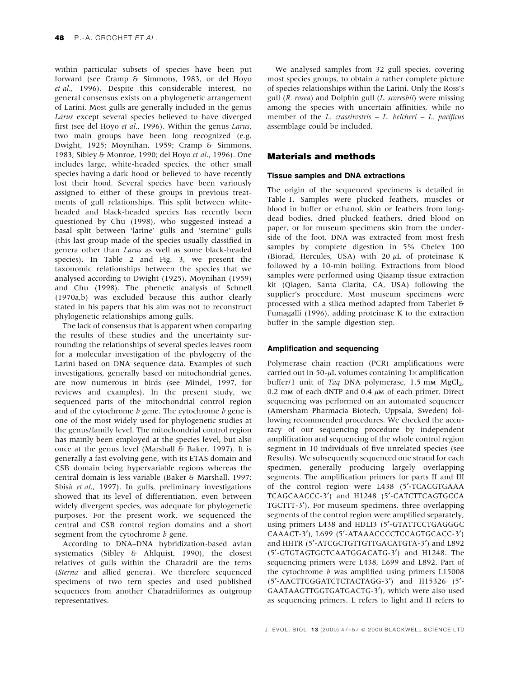within particular subsets of species have been put forward (see Cramp & Simmons, 1983, or del Hoyo et al., 1996). Despite this considerable interest, no general consensus exists on a phylogenetic arrangement of Larini. Most gulls are generally included in the genus Larus except several species believed to have diverged first (see del Hoyo et al., 1996). Within the genus Larus, two main groups have been long recognized (e.g. Dwight, 1925; Moynihan, 1959; Cramp & Simmons, 1983; Sibley & Monroe, 1990; del Hoyo et al., 1996). One includes large, white-headed species, the other small species having a dark hood or believed to have recently lost their hood. Several species have been variously assigned to either of these groups in previous treatments of gull relationships. This split between whiteheaded and black-headed species has recently been questioned by Chu (1998), who suggested instead a basal split between 'larine' gulls and 'sternine' gulls (this last group made of the species usually classified in genera other than Larus as well as some black-headed species). In Table 2 and Fig. 3, we present the taxonomic relationships between the species that we analysed according to Dwight (1925), Moynihan (1959) and Chu (1998). The phenetic analysis of Schnell (1970a,b) was excluded because this author clearly stated in his papers that his aim was not to reconstruct phylogenetic relationships among gulls.

The lack of consensus that is apparent when comparing the results of these studies and the uncertainty surrounding the relationships of several species leaves room for a molecular investigation of the phylogeny of the Larini based on DNA sequence data. Examples of such investigations, generally based on mitochondrial genes, are now numerous in birds (see Mindel, 1997, for reviews and examples). In the present study, we sequenced parts of the mitochondrial control region and of the cytochrome  $b$  gene. The cytochrome  $b$  gene is one of the most widely used for phylogenetic studies at the genus/family level. The mitochondrial control region has mainly been employed at the species level, but also once at the genus level (Marshall & Baker, 1997). It is generally a fast evolving gene, with its ETAS domain and CSB domain being hypervariable regions whereas the central domain is less variable (Baker & Marshall, 1997; Sbisà et al., 1997). In gulls, preliminary investigations showed that its level of differentiation, even between widely divergent species, was adequate for phylogenetic purposes. For the present work, we sequenced the central and CSB control region domains and a short segment from the cytochrome *b* gene.

According to DNA-DNA hybridization-based avian systematics (Sibley & Ahlquist, 1990), the closest relatives of gulls within the Charadrii are the terns (Sterna and allied genera). We therefore sequenced specimens of two tern species and used published sequences from another Charadriiformes as outgroup representatives.

We analysed samples from 32 gull species, covering most species groups, to obtain a rather complete picture of species relationships within the Larini. Only the Ross's gull (R. rosea) and Dolphin gull (L. scoresbii) were missing among the species with uncertain affinities, while no member of the L. crassirostris  $-$  L. belcheri  $-$  L. pacificus assemblage could be included.

## Materials and methods

## Tissue samples and DNA extractions

The origin of the sequenced specimens is detailed in Table 1. Samples were plucked feathers, muscles or blood in buffer or ethanol, skin or feathers from longdead bodies, dried plucked feathers, dried blood on paper, or for museum specimens skin from the underside of the foot. DNA was extracted from most fresh samples by complete digestion in 5% Chelex 100 (Biorad, Hercules, USA) with 20  $\mu$ L of proteinase K followed by a 10-min boiling. Extractions from blood samples were performed using Qiaamp tissue extraction kit (Qiagen, Santa Clarita, CA, USA) following the supplier's procedure. Most museum specimens were processed with a silica method adapted from Taberlet & Fumagalli (1996), adding proteinase K to the extraction buffer in the sample digestion step.

## Amplification and sequencing

Polymerase chain reaction (PCR) amplifications were carried out in 50- $\mu$ L volumes containing 1 $\times$  amplification buffer/1 unit of Taq DNA polymerase,  $1.5$  mm MgCl<sub>2</sub>, 0.2 mm of each dNTP and 0.4  $\mu$ m of each primer. Direct sequencing was performed on an automated sequencer (Amersham Pharmacia Biotech, Uppsala, Sweden) following recommended procedures. We checked the accuracy of our sequencing procedure by independent amplification and sequencing of the whole control region segment in 10 individuals of five unrelated species (see Results). We subsequently sequenced one strand for each specimen, generally producing largely overlapping segments. The amplification primers for parts II and III of the control region were L438 (5¢-TCACGTGAAA TCAGCAACCC-3') and H1248 (5'-CATCTTCAGTGCCA TGCTTT-3¢). For museum specimens, three overlapping segments of the control region were amplified separately, using primers L438 and HDLI3 (5'-GTATTCCTGAGGGC CAAACT-3'), L699 (5'-ATAAACCCCTCCAGTGCACC-3') and HHTR (5'-ATCGCTGTTGTTGACATGTA-3') and L892 (5¢-GTGTAGTGCTCAATGGACATG-3¢) and H1248. The sequencing primers were L438, L699 and L892. Part of the cytochrome  $b$  was amplified using primers L15008 (5'-AACTTCGGATCTCTACTAGG-3') and H15326 (5'-GAATAAGTTGGTGATGACTG-3'), which were also used as sequencing primers. L refers to light and H refers to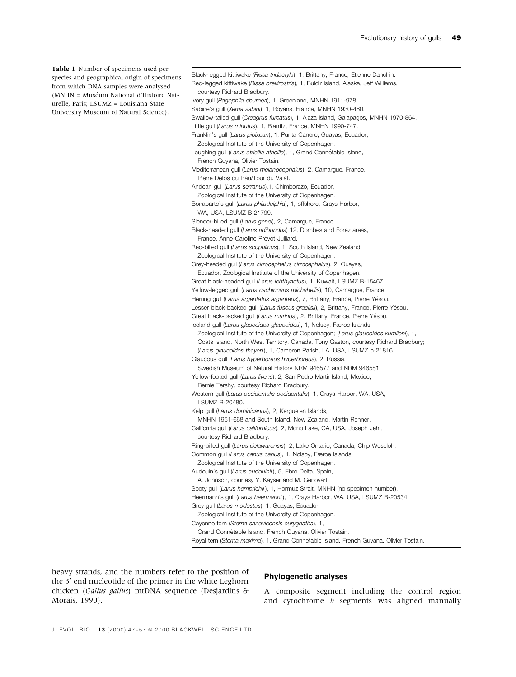Table 1 Number of specimens used per species and geographical origin of specimens from which DNA samples were analysed (MNHN = Muséum National d'Histoire Naturelle, Paris; LSUMZ = Louisiana State University Museum of Natural Science).

Black-legged kittiwake (Rissa tridactyla), 1, Brittany, France, Etienne Danchin. Red-legged kittiwake (Rissa brevirostris), 1, Buldir Island, Alaska, Jeff Williams, courtesy Richard Bradbury. Ivory gull (Pagophila eburnea), 1, Groenland, MNHN 1911-978. Sabine's gull (Xema sabini), 1, Royans, France, MNHN 1930-460. Swallow-tailed gull (Creagrus furcatus), 1, Alaza Island, Galapagos, MNHN 1970-864. Little gull (Larus minutus), 1, Biarritz, France, MNHN 1990-747. Franklin's gull (Larus pipixcan), 1, Punta Canero, Guayas, Ecuador, Zoological Institute of the University of Copenhagen. Laughing gull (Larus atricilla atricilla), 1, Grand Connétable Island, French Guyana, Olivier Tostain. Mediterranean gull (Larus melanocephalus), 2, Camargue, France, Pierre Defos du Rau/Tour du Valat. Andean gull (Larus serranus),1, Chimborazo, Ecuador, Zoological Institute of the University of Copenhagen. Bonaparte's gull (Larus philadelphia), 1, offshore, Grays Harbor, WA, USA, LSUMZ B 21799. Slender-billed gull (Larus genei), 2, Camargue, France. Black-headed gull (Larus ridibundus) 12, Dombes and Forez areas, France, Anne-Caroline Prévot-Julliard. Red-billed gull (Larus scopulinus), 1, South Island, New Zealand, Zoological Institute of the University of Copenhagen. Grey-headed gull (Larus cirrocephalus cirrocephalus), 2, Guayas, Ecuador, Zoological Institute of the University of Copenhagen. Great black-headed gull (Larus ichthyaetus), 1, Kuwait, LSUMZ B-15467. Yellow-legged gull (Larus cachinnans michahellis), 10, Camargue, France. Herring gull (Larus argentatus argenteus), 7, Brittany, France, Pierre Yésou. Lesser black-backed gull (Larus fuscus graellsii), 2, Brittany, France, Pierre Yésou. Great black-backed gull (Larus marinus), 2, Brittany, France, Pierre Yésou. Iceland gull (Larus glaucoides glaucoides), 1, Nolsoy, Færoe Islands, Zoological Institute of the University of Copenhagen; (Larus glaucoides kumlieni), 1, Coats Island, North West Territory, Canada, Tony Gaston, courtesy Richard Bradbury; (Larus glaucoides thayeri), 1, Cameron Parish, LA, USA, LSUMZ b-21816. Glaucous gull (Larus hyperboreus hyperboreus), 2, Russia, Swedish Museum of Natural History NRM 946577 and NRM 946581. Yellow-footed gull (Larus livens), 2, San Pedro Martir Island, Mexico, Bernie Tershy, courtesy Richard Bradbury. Western gull (Larus occidentalis occidentalis), 1, Grays Harbor, WA, USA, LSUMZ B-20480. Kelp gull (Larus dominicanus), 2, Kerguelen Islands, MNHN 1951-668 and South Island, New Zealand, Martin Renner. California gull (Larus californicus), 2, Mono Lake, CA, USA, Joseph Jehl, courtesy Richard Bradbury. Ring-billed gull (Larus delawarensis), 2, Lake Ontario, Canada, Chip Weseloh. Common gull (Larus canus canus), 1, Nolsoy, Færoe Islands, Zoological Institute of the University of Copenhagen. Audouin's gull (Larus audouinii), 5, Ebro Delta, Spain, A. Johnson, courtesy Y. Kayser and M. Genovart. Sooty gull (Larus hemprichii), 1, Hormuz Strait, MNHN (no specimen number). Heermann's gull (Larus heermanni), 1, Grays Harbor, WA, USA, LSUMZ B-20534. Grey gull (Larus modestus), 1, Guayas, Ecuador, Zoological Institute of the University of Copenhagen. Cayenne tern (Sterna sandvicensis eurygnatha), 1, Grand Connétable Island, French Guyana, Olivier Tostain. Royal tern (Sterna maxima), 1, Grand Connétable Island, French Guyana, Olivier Tostain.

heavy strands, and the numbers refer to the position of the 3' end nucleotide of the primer in the white Leghorn chicken (Gallus gallus) mtDNA sequence (Desjardins & Morais, 1990).

#### Phylogenetic analyses

A composite segment including the control region and cytochrome b segments was aligned manually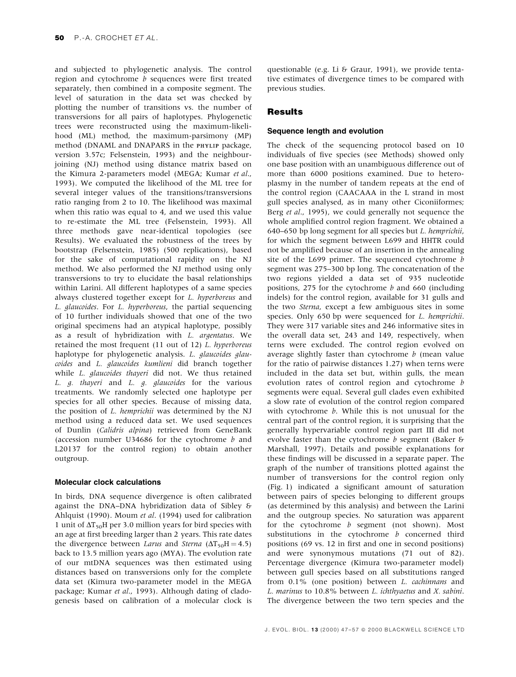and subjected to phylogenetic analysis. The control region and cytochrome  $b$  sequences were first treated separately, then combined in a composite segment. The level of saturation in the data set was checked by plotting the number of transitions vs. the number of transversions for all pairs of haplotypes. Phylogenetic trees were reconstructed using the maximum-likelihood (ML) method, the maximum-parsimony (MP) method (DNAML and DNAPARS in the PHYLIP package, version 3.57c; Felsenstein, 1993) and the neighbourjoining (NJ) method using distance matrix based on the Kimura 2-parameters model (MEGA: Kumar et al., 1993). We computed the likelihood of the ML tree for several integer values of the transitions/transversions ratio ranging from 2 to 10. The likelihood was maximal when this ratio was equal to 4, and we used this value to re-estimate the ML tree (Felsenstein, 1993). All three methods gave near-identical topologies (see Results). We evaluated the robustness of the trees by bootstrap (Felsenstein, 1985) (500 replications), based for the sake of computational rapidity on the NJ method. We also performed the NJ method using only transversions to try to elucidate the basal relationships within Larini. All different haplotypes of a same species always clustered together except for *L. hyperboreus* and L. glaucoides. For L. hyperboreus, the partial sequencing of 10 further individuals showed that one of the two original specimens had an atypical haplotype, possibly as a result of hybridization with L. argentatus. We retained the most frequent (11 out of 12) L. hyperboreus haplotype for phylogenetic analysis. L. glaucoides glaucoides and L. glaucoides kumlieni did branch together while L. glaucoides thayeri did not. We thus retained L. g. thayeri and L. g. glaucoides for the various treatments. We randomly selected one haplotype per species for all other species. Because of missing data, the position of L. hemprichii was determined by the NJ method using a reduced data set. We used sequences of Dunlin (Calidris alpina) retrieved from GeneBank (accession number U34686 for the cytochrome  $b$  and L20137 for the control region) to obtain another outgroup.

## Molecular clock calculations

In birds, DNA sequence divergence is often calibrated against the DNA-DNA hybridization data of Sibley & Ahlquist (1990). Moum et al. (1994) used for calibration 1 unit of  $\Delta T_{50}$ H per 3.0 million years for bird species with an age at first breeding larger than 2 years. This rate dates the divergence between *Larus* and *Sterna* ( $\Delta T_{50}H = 4.5$ ) back to 13.5 million years ago (MYA). The evolution rate of our mtDNA sequences was then estimated using distances based on transversions only for the complete data set (Kimura two-parameter model in the MEGA package; Kumar et al., 1993). Although dating of cladogenesis based on calibration of a molecular clock is

questionable (e.g. Li & Graur, 1991), we provide tentative estimates of divergence times to be compared with previous studies.

# Results

## Sequence length and evolution

The check of the sequencing protocol based on 10 individuals of five species (see Methods) showed only one base position with an unambiguous difference out of more than 6000 positions examined. Due to heteroplasmy in the number of tandem repeats at the end of the control region (CAACAAA in the L strand in most gull species analysed, as in many other Ciconiiformes; Berg et al., 1995), we could generally not sequence the whole amplified control region fragment. We obtained a  $640-650$  bp long segment for all species but *L. hemprichii*, for which the segment between L699 and HHTR could not be amplified because of an insertion in the annealing site of the L699 primer. The sequenced cytochrome  $b$ segment was 275-300 bp long. The concatenation of the two regions yielded a data set of 935 nucleotide positions, 275 for the cytochrome  $b$  and 660 (including indels) for the control region, available for 31 gulls and the two Sterna, except a few ambiguous sites in some species. Only 650 bp were sequenced for *L. hemprichii*. They were 317 variable sites and 246 informative sites in the overall data set, 243 and 149, respectively, when terns were excluded. The control region evolved on average slightly faster than cytochrome  $b$  (mean value for the ratio of pairwise distances 1.27) when terns were included in the data set but, within gulls, the mean evolution rates of control region and cytochrome b segments were equal. Several gull clades even exhibited a slow rate of evolution of the control region compared with cytochrome  $b$ . While this is not unusual for the central part of the control region, it is surprising that the generally hypervariable control region part III did not evolve faster than the cytochrome  $b$  segment (Baker  $b$ Marshall, 1997). Details and possible explanations for these findings will be discussed in a separate paper. The graph of the number of transitions plotted against the number of transversions for the control region only (Fig. 1) indicated a significant amount of saturation between pairs of species belonging to different groups (as determined by this analysis) and between the Larini and the outgroup species. No saturation was apparent for the cytochrome b segment (not shown). Most substitutions in the cytochrome  $b$  concerned third positions (69 vs. 12 in first and one in second positions) and were synonymous mutations (71 out of 82). Percentage divergence (Kimura two-parameter model) between gull species based on all substitutions ranged from 0.1% (one position) between L. cachinnans and L. marinus to 10.8% between L. ichthyaetus and X. sabini. The divergence between the two tern species and the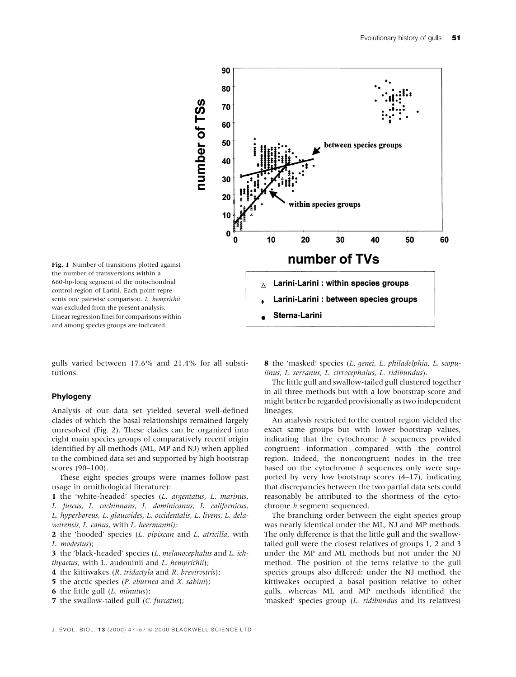

Fig. 1 Number of transitions plotted against the number of transversions within a 660-bp-long segment of the mitochondrial control region of Larini. Each point represents one pairwise comparison. L. hemprichii was excluded from the present analysis. Linear regression lines for comparisons within and among species groups are indicated.

gulls varied between 17.6% and 21.4% for all substitutions.

## Phylogeny

Analysis of our data set yielded several well-defined clades of which the basal relationships remained largely unresolved (Fig. 2). These clades can be organized into eight main species groups of comparatively recent origin identified by all methods (ML, MP and NJ) when applied to the combined data set and supported by high bootstrap scores (90-100).

These eight species groups were (names follow past usage in ornithological literature):

1 the 'white-headed' species (L. argentatus, L. marinus, L. fuscus, L. cachinnans, L. dominicanus, L. californicus, L. hyperboreus, L. glaucoides, L. occidentalis, L. livens, L. delawarensis, L. canus, with L. heermanni);

2 the 'hooded' species (L. pipixcan and L. atricilla, with L. modestus);

3 the 'black-headed' species (L. melanocephalus and L. ich $th$ *yaetus*, with L. audouinii and L. hemprichii);

4 the kittiwakes (R. tridactyla and R. brevirostris);

- 5 the arctic species  $(P.$  eburnea and  $X.$  sabini);
- 6 the little gull (L. minutus);
- 7 the swallow-tailed gull (C. furcatus);

8 the 'masked' species (L. genei, L. philadelphia, L. scopulinus, L. serranus, L. cirrocephalus, L. ridibundus).

The little gull and swallow-tailed gull clustered together in all three methods but with a low bootstrap score and might better be regarded provisionally as two independent lineages.

An analysis restricted to the control region yielded the exact same groups but with lower bootstrap values, indicating that the cytochrome  $b$  sequences provided congruent information compared with the control region. Indeed, the noncongruent nodes in the tree based on the cytochrome  $b$  sequences only were supported by very low bootstrap scores  $(4-17)$ , indicating that discrepancies between the two partial data sets could reasonably be attributed to the shortness of the cytochrome b segment sequenced.

The branching order between the eight species group was nearly identical under the ML, NJ and MP methods. The only difference is that the little gull and the swallowtailed gull were the closest relatives of groups 1, 2 and 3 under the MP and ML methods but not under the NJ method. The position of the terns relative to the gull species groups also differed: under the NJ method, the kittiwakes occupied a basal position relative to other gulls, whereas ML and MP methods identified the 'masked' species group (*L. ridibundus* and its relatives)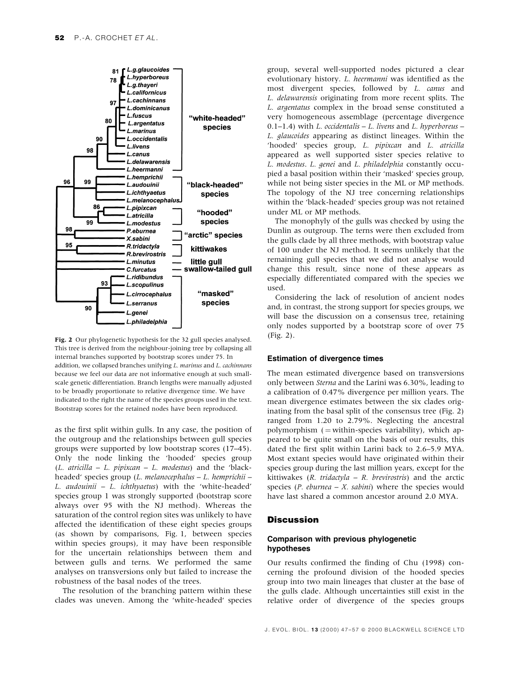

Fig. 2 Our phylogenetic hypothesis for the 32 gull species analysed. This tree is derived from the neighbour-joining tree by collapsing all internal branches supported by bootstrap scores under 75. In addition, we collapsed branches unifying L. marinus and L. cachinnans because we feel our data are not informative enough at such smallscale genetic differentiation. Branch lengths were manually adjusted to be broadly proportionate to relative divergence time. We have indicated to the right the name of the species groups used in the text. Bootstrap scores for the retained nodes have been reproduced.

as the first split within gulls. In any case, the position of the outgroup and the relationships between gull species groups were supported by low bootstrap scores (17–45). Only the node linking the 'hooded' species group  $(L.$  atricilla  $-L.$  pipixcan  $-L.$  modestus) and the 'blackheaded' species group (L. melanocephalus - L. hemprichii - $L.$  audouinii  $-L.$  ichthyaetus) with the 'white-headed' species group 1 was strongly supported (bootstrap score always over 95 with the NJ method). Whereas the saturation of the control region sites was unlikely to have affected the identification of these eight species groups (as shown by comparisons, Fig. 1, between species within species groups), it may have been responsible for the uncertain relationships between them and between gulls and terns. We performed the same analyses on transversions only but failed to increase the robustness of the basal nodes of the trees.

The resolution of the branching pattern within these clades was uneven. Among the 'white-headed' species group, several well-supported nodes pictured a clear evolutionary history. L. heermanni was identified as the most divergent species, followed by L. canus and L. delawarensis originating from more recent splits. The L. argentatus complex in the broad sense constituted a very homogeneous assemblage (percentage divergence  $0.1-1.4$ ) with L. occidentalis  $-$  L. livens and L. hyperboreus  $-$ L. glaucoides appearing as distinct lineages. Within the 'hooded' species group, L. pipixcan and L. atricilla appeared as well supported sister species relative to L. modestus. L. genei and L. philadelphia constantly occupied a basal position within their 'masked' species group, while not being sister species in the ML or MP methods. The topology of the NJ tree concerning relationships within the 'black-headed' species group was not retained under ML or MP methods.

The monophyly of the gulls was checked by using the Dunlin as outgroup. The terns were then excluded from the gulls clade by all three methods, with bootstrap value of 100 under the NJ method. It seems unlikely that the remaining gull species that we did not analyse would change this result, since none of these appears as especially differentiated compared with the species we used.

Considering the lack of resolution of ancient nodes and, in contrast, the strong support for species groups, we will base the discussion on a consensus tree, retaining only nodes supported by a bootstrap score of over 75 (Fig. 2).

#### Estimation of divergence times

The mean estimated divergence based on transversions only between Sterna and the Larini was 6.30%, leading to a calibration of 0.47% divergence per million years. The mean divergence estimates between the six clades originating from the basal split of the consensus tree (Fig. 2) ranged from 1.20 to 2.79%. Neglecting the ancestral polymorphism  $($  = within-species variability), which appeared to be quite small on the basis of our results, this dated the first split within Larini back to 2.6-5.9 MYA. Most extant species would have originated within their species group during the last million years, except for the kittiwakes ( $R$ . tridactyla  $R$ . brevirostris) and the arctic species (*P. eburnea – X. sabini*) where the species would have last shared a common ancestor around 2.0 MYA.

# Discussion

## Comparison with previous phylogenetic hypotheses

Our results confirmed the finding of Chu (1998) concerning the profound division of the hooded species group into two main lineages that cluster at the base of the gulls clade. Although uncertainties still exist in the relative order of divergence of the species groups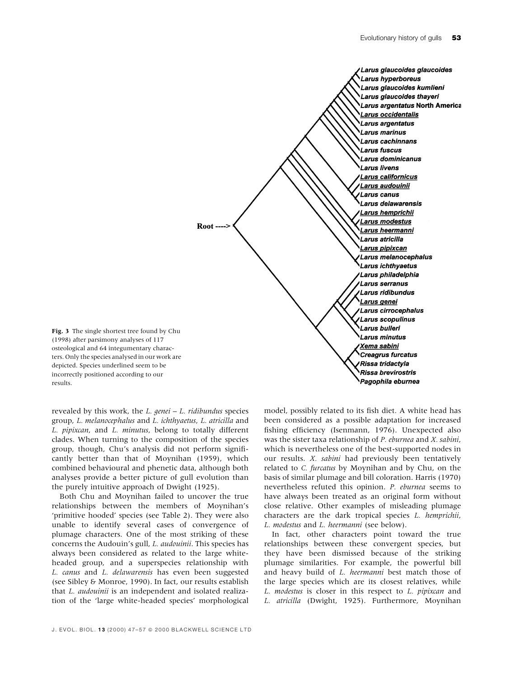

Fig. 3 The single shortest tree found by Chu (1998) after parsimony analyses of 117 osteological and 64 integumentary characters. Only the species analysed in our work are depicted. Species underlined seem to be incorrectly positioned according to our results.

revealed by this work, the  $L$ . genei  $-L$ . ridibundus species group, L. melanocephalus and L. ichthyaetus, L. atricilla and L. pipixcan, and L. minutus, belong to totally different clades. When turning to the composition of the species group, though, Chu's analysis did not perform significantly better than that of Moynihan (1959), which combined behavioural and phenetic data, although both analyses provide a better picture of gull evolution than the purely intuitive approach of Dwight (1925).

Both Chu and Moynihan failed to uncover the true relationships between the members of Moynihan's `primitive hooded' species (see Table 2). They were also unable to identify several cases of convergence of plumage characters. One of the most striking of these concerns the Audouin's gull, L. audouinii. This species has always been considered as related to the large whiteheaded group, and a superspecies relationship with L. canus and L. delawarensis has even been suggested (see Sibley & Monroe, 1990). In fact, our results establish that L. audouinii is an independent and isolated realization of the `large white-headed species' morphological

model, possibly related to its fish diet. A white head has been considered as a possible adaptation for increased fishing efficiency (Isenmann, 1976). Unexpected also was the sister taxa relationship of P. eburnea and X. sabini, which is nevertheless one of the best-supported nodes in our results. X. sabini had previously been tentatively related to C. furcatus by Moynihan and by Chu, on the basis of similar plumage and bill coloration. Harris (1970) nevertheless refuted this opinion. P. eburnea seems to have always been treated as an original form without close relative. Other examples of misleading plumage characters are the dark tropical species L. hemprichii, L. modestus and L. heermanni (see below).

In fact, other characters point toward the true relationships between these convergent species, but they have been dismissed because of the striking plumage similarities. For example, the powerful bill and heavy build of L. heermanni best match those of the large species which are its closest relatives, while L. modestus is closer in this respect to L. pipixcan and L. atricilla (Dwight, 1925). Furthermore, Moynihan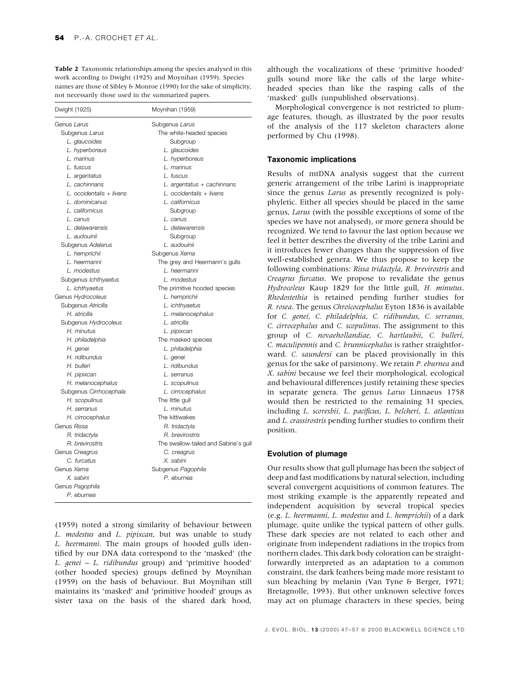Table 2 Taxonomic relationships among the species analysed in this work according to Dwight (1925) and Moynihan (1959). Species names are those of Sibley & Monroe (1990) for the sake of simplicity, not necessarily those used in the summarized papers.

| Dwight (1925)               | Moynihan (1959)                      |
|-----------------------------|--------------------------------------|
| Genus Larus                 | Subgenus Larus                       |
| Subgenus Larus              | The white-headed species             |
| L. glaucoides               | Subgroup                             |
| L. hyperboreus              | L. glaucoides                        |
| L. marinus                  | L. hyperboreus                       |
| L. fuscus                   | L. marinus                           |
| L. argentatus               | L. fuscus                            |
| L. cachinnans               | L. argentatus + cachinnans           |
| L. occidentalis + livens    | L. occidentalis + livens             |
| L. dominicanus              | L. californicus                      |
| L. californicus             | Subgroup                             |
| L. canus                    | L. canus                             |
| L. delawarensis             | L. delawarensis                      |
| L. audouinii                | Subgroup                             |
| Subgenus Adelarus           | L. audouinii                         |
| L. hemprichii               | Subgenus Xema                        |
| L. heermanni                | The grey and Heermann's gulls        |
| L. modestus                 | L. heermanni                         |
| Subgenus <i>Ichthyaetus</i> | L. modestus                          |
| L. ichthyaetus              | The primitive hooded species         |
| Genus Hydrocoleus           | L. hemprichii                        |
| Subgenus Atricilla          | L. ichthyaetus                       |
| H. atricilla                | L. melanocephalus                    |
| Subgenus Hydrocoleus        | L. atricilla                         |
| H. minutus                  | L. pipixcan                          |
| H. philadelphia             | The masked species                   |
| H. genei                    | L. philadelphia                      |
| H. ridibundus               | L. genei                             |
| H. bulleri                  | L. ridibundus                        |
| H. pipixcan                 | L. serranus                          |
| H. melanocephalus           | L. scopulinus                        |
| Subgenus Cirrhocephala      | L. cirrocephalus                     |
| H. scopulinus               | The little gull                      |
| H. serranus                 | L. minutus                           |
| H. cirrocephalus            | The kittiwakes                       |
| Genus Rissa                 | R. tridactyla                        |
| R. tridactyla               | R. brevirostris                      |
| R. brevirostris             | The swallow-tailed and Sabine's gull |
| Genus Creagrus              | C. creagrus                          |
| C. furcatus                 | X. sabini                            |
| Genus Xema                  | Subgenus Pagophila                   |
| X. sabini                   | P. eburnea                           |
| Genus Pagophila             |                                      |
| P. eburnea                  |                                      |

(1959) noted a strong similarity of behaviour between L. modestus and L. pipixcan, but was unable to study L. heermanni. The main groups of hooded gulls identified by our DNA data correspond to the 'masked' (the L. genei  $-$  L. ridibundus group) and 'primitive hooded' (other hooded species) groups defined by Moynihan (1959) on the basis of behaviour. But Moynihan still maintains its 'masked' and 'primitive hooded' groups as sister taxa on the basis of the shared dark hood,

although the vocalizations of these 'primitive hooded' gulls sound more like the calls of the large whiteheaded species than like the rasping calls of the 'masked' gulls (unpublished observations).

Morphological convergence is not restricted to plumage features, though, as illustrated by the poor results of the analysis of the 117 skeleton characters alone performed by Chu (1998).

## Taxonomic implications

Results of mtDNA analysis suggest that the current generic arrangement of the tribe Larini is inappropriate since the genus Larus as presently recognized is polyphyletic. Either all species should be placed in the same genus, Larus (with the possible exceptions of some of the species we have not analysed), or more genera should be recognized. We tend to favour the last option because we feel it better describes the diversity of the tribe Larini and it introduces fewer changes than the suppression of five well-established genera. We thus propose to keep the following combinations: Rissa tridactyla, R. brevirostris and Creagrus furcatus. We propose to revalidate the genus Hydrocoleus Kaup 1829 for the little gull, H. minutus. Rhodostethia is retained pending further studies for R. rosea. The genus Chroicocephalus Eyton 1836 is available for C. genei, C. philadelphia, C. ridibundus, C. serranus, C. cirrocephalus and C. scopulinus. The assignment to this group of C. novaehollandiae, C. hartlaubii, C. bulleri, C. maculipennis and C. brunnicephalus is rather straightforward. C. saundersi can be placed provisionally in this genus for the sake of parsimony. We retain P. eburnea and X. sabini because we feel their morphological, ecological and behavioural differences justify retaining these species in separate genera. The genus Larus Linnaeus 1758 would then be restricted to the remaining 31 species, including L. scoresbii, L. pacificus, L. belcheri, L. atlanticus and *L. crassirostris* pending further studies to confirm their position.

## Evolution of plumage

Our results show that gull plumage has been the subject of deep and fast modifications by natural selection, including several convergent acquisitions of common features. The most striking example is the apparently repeated and independent acquisition by several tropical species (e.g. L. heermanni, L. modestus and L. hemprichii) of a dark plumage, quite unlike the typical pattern of other gulls. These dark species are not related to each other and originate from independent radiations in the tropics from northern clades. This dark body coloration can be straightforwardly interpreted as an adaptation to a common constraint, the dark feathers being made more resistant to sun bleaching by melanin (Van Tyne & Berger, 1971; Bretagnolle, 1993). But other unknown selective forces may act on plumage characters in these species, being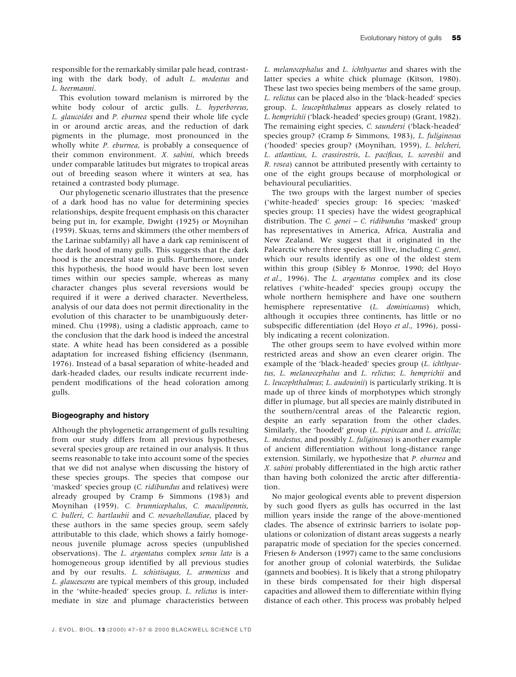responsible for the remarkably similar pale head, contrasting with the dark body, of adult L. modestus and L. heermanni.

This evolution toward melanism is mirrored by the white body colour of arctic gulls. L. hyperboreus, L. glaucoides and P. eburnea spend their whole life cycle in or around arctic areas, and the reduction of dark pigments in the plumage, most pronounced in the wholly white *P. eburnea*, is probably a consequence of their common environment. X. sabini, which breeds under comparable latitudes but migrates to tropical areas out of breeding season where it winters at sea, has retained a contrasted body plumage.

Our phylogenetic scenario illustrates that the presence of a dark hood has no value for determining species relationships, despite frequent emphasis on this character being put in, for example, Dwight (1925) or Moynihan (1959). Skuas, terns and skimmers (the other members of the Larinae subfamily) all have a dark cap reminiscent of the dark hood of many gulls. This suggests that the dark hood is the ancestral state in gulls. Furthermore, under this hypothesis, the hood would have been lost seven times within our species sample, whereas as many character changes plus several reversions would be required if it were a derived character. Nevertheless, analysis of our data does not permit directionality in the evolution of this character to be unambiguously determined. Chu (1998), using a cladistic approach, came to the conclusion that the dark hood is indeed the ancestral state. A white head has been considered as a possible adaptation for increased fishing efficiency (Isenmann, 1976). Instead of a basal separation of white-headed and dark-headed clades, our results indicate recurrent independent modifications of the head coloration among gulls.

## Biogeography and history

Although the phylogenetic arrangement of gulls resulting from our study differs from all previous hypotheses, several species group are retained in our analysis. It thus seems reasonable to take into account some of the species that we did not analyse when discussing the history of these species groups. The species that compose our 'masked' species group (C. ridibundus and relatives) were already grouped by Cramp & Simmons (1983) and Moynihan (1959). C. brunnicephalus, C. maculipennis, C. bulleri, C. hartlaubii and C. novaehollandiae, placed by these authors in the same species group, seem safely attributable to this clade, which shows a fairly homogeneous juvenile plumage across species (unpublished observations). The L. argentatus complex sensu lato is a homogeneous group identified by all previous studies and by our results. L. schistisagus, L. armenicus and L. glaucescens are typical members of this group, included in the 'white-headed' species group. L. relictus is intermediate in size and plumage characteristics between

L. melanocephalus and L. ichthyaetus and shares with the latter species a white chick plumage (Kitson, 1980). These last two species being members of the same group, L. relictus can be placed also in the 'black-headed' species group. L. leucophthalmus appears as closely related to L. hemprichii ('black-headed' species group) (Grant, 1982). The remaining eight species, C. saundersi ('black-headed' species group? (Cramp & Simmons, 1983), L. fuliginosus ('hooded' species group? (Moynihan, 1959), L. belcheri, L. atlanticus, L. crassirostris, L. pacificus, L. scoresbii and R. rosea) cannot be attributed presently with certainty to one of the eight groups because of morphological or behavioural peculiarities.

The two groups with the largest number of species ('white-headed' species group: 16 species; 'masked' species group: 11 species) have the widest geographical distribution. The  $C$ . genei  $-$  C. ridibundus 'masked' group has representatives in America, Africa, Australia and New Zealand. We suggest that it originated in the Palearctic where three species still live, including C. genei, which our results identify as one of the oldest stem within this group (Sibley & Monroe, 1990; del Hoyo et al., 1996). The L. argentatus complex and its close relatives ('white-headed' species group) occupy the whole northern hemisphere and have one southern hemisphere representative (L. dominicanus) which, although it occupies three continents, has little or no subspecific differentiation (del Hoyo et al., 1996), possibly indicating a recent colonization.

The other groups seem to have evolved within more restricted areas and show an even clearer origin. The example of the 'black-headed' species group (L. ichthyaetus, L. melanocephalus and L. relictus; L. hemprichii and L. leucophthalmus; L. audouinii) is particularly striking. It is made up of three kinds of morphotypes which strongly differ in plumage, but all species are mainly distributed in the southern/central areas of the Palearctic region, despite an early separation from the other clades. Similarly, the 'hooded' group (L. pipixcan and L. atricilla; L. modestus, and possibly L. fuliginosus) is another example of ancient differentiation without long-distance range extension. Similarly, we hypothesize that P. eburnea and X. sabini probably differentiated in the high arctic rather than having both colonized the arctic after differentiation.

No major geological events able to prevent dispersion by such good flyers as gulls has occurred in the last million years inside the range of the above-mentioned clades. The absence of extrinsic barriers to isolate populations or colonization of distant areas suggests a nearly parapatric mode of speciation for the species concerned. Friesen & Anderson (1997) came to the same conclusions for another group of colonial waterbirds, the Sulidae (gannets and boobies). It is likely that a strong philopatry in these birds compensated for their high dispersal capacities and allowed them to differentiate within flying distance of each other. This process was probably helped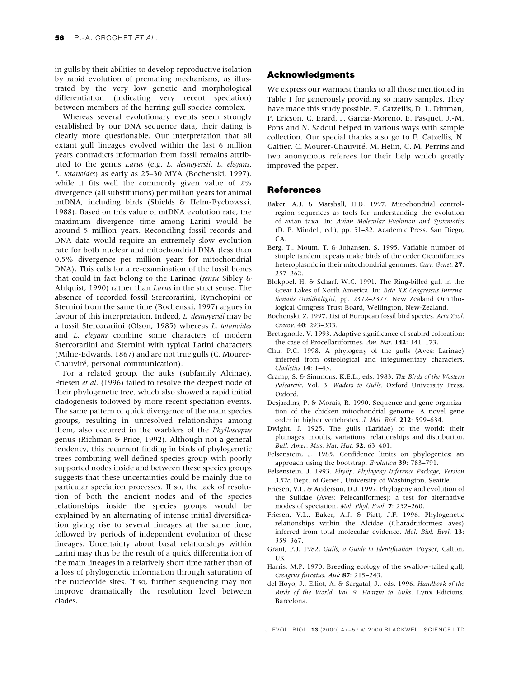in gulls by their abilities to develop reproductive isolation by rapid evolution of premating mechanisms, as illustrated by the very low genetic and morphological differentiation (indicating very recent speciation) between members of the herring gull species complex.

Whereas several evolutionary events seem strongly established by our DNA sequence data, their dating is clearly more questionable. Our interpretation that all extant gull lineages evolved within the last 6 million years contradicts information from fossil remains attributed to the genus Larus (e.g. L. desnoyersii, L. elegans, L. totanoides) as early as 25–30 MYA (Bochenski, 1997), while it fits well the commonly given value of  $2\%$ divergence (all substitutions) per million years for animal mtDNA, including birds (Shields & Helm-Bychowski, 1988). Based on this value of mtDNA evolution rate, the maximum divergence time among Larini would be around 5 million years. Reconciling fossil records and DNA data would require an extremely slow evolution rate for both nuclear and mitochondrial DNA (less than 0.5% divergence per million years for mitochondrial DNA). This calls for a re-examination of the fossil bones that could in fact belong to the Larinae (sensu Sibley & Ahlquist, 1990) rather than *Larus* in the strict sense. The absence of recorded fossil Stercorariini, Rynchopini or Sternini from the same time (Bochenski, 1997) argues in favour of this interpretation. Indeed, L. desnoyersii may be a fossil Stercorariini (Olson, 1985) whereas L. totanoides and L. elegans combine some characters of modern Stercorariini and Sternini with typical Larini characters (Milne-Edwards, 1867) and are not true gulls (C. Mourer-Chauviré, personal communication).

For a related group, the auks (subfamily Alcinae), Friesen et al. (1996) failed to resolve the deepest node of their phylogenetic tree, which also showed a rapid initial cladogenesis followed by more recent speciation events. The same pattern of quick divergence of the main species groups, resulting in unresolved relationships among them, also occurred in the warblers of the *Phylloscopus* genus (Richman & Price, 1992). Although not a general tendency, this recurrent finding in birds of phylogenetic trees combining well-defined species group with poorly supported nodes inside and between these species groups suggests that these uncertainties could be mainly due to particular speciation processes. If so, the lack of resolution of both the ancient nodes and of the species relationships inside the species groups would be explained by an alternating of intense initial diversification giving rise to several lineages at the same time, followed by periods of independent evolution of these lineages. Uncertainty about basal relationships within Larini may thus be the result of a quick differentiation of the main lineages in a relatively short time rather than of a loss of phylogenetic information through saturation of the nucleotide sites. If so, further sequencing may not improve dramatically the resolution level between clades.

## Acknowledgments

We express our warmest thanks to all those mentioned in Table 1 for generously providing so many samples. They have made this study possible. F. Catzeflis, D. L. Dittman, P. Ericson, C. Erard, J. Garcia-Moreno, E. Pasquet, J.-M. Pons and N. Sadoul helped in various ways with sample collection. Our special thanks also go to F. Catzeflis, N. Galtier, C. Mourer-Chauviré, M. Helin, C. M. Perrins and two anonymous referees for their help which greatly improved the paper.

## References

- Baker, A.J. & Marshall, H.D. 1997. Mitochondrial controlregion sequences as tools for understanding the evolution of avian taxa. In: Avian Molecular Evolution and Systematics (D. P. Mindell, ed.), pp. 51–82. Academic Press, San Diego, CA.
- Berg, T., Moum, T. & Johansen, S. 1995. Variable number of simple tandem repeats make birds of the order Ciconiiformes heteroplasmic in their mitochondrial genomes. Curr. Genet. 27: 257±262.
- Blokpoel, H. & Scharf, W.C. 1991. The Ring-billed gull in the Great Lakes of North America. In: Acta XX Congressus Internationalis Ornithologici, pp. 2372-2377. New Zealand Ornithological Congress Trust Board, Wellington, New-Zealand.
- Bochenski, Z. 1997. List of European fossil bird species. Acta Zool. Cracov. 40: 293-333.
- Bretagnolle, V. 1993. Adaptive significance of seabird coloration: the case of Procellariiformes. Am. Nat. 142: 141-173.
- Chu, P.C. 1998. A phylogeny of the gulls (Aves: Larinae) inferred from osteological and integumentary characters. Cladistics 14: 1-43.
- Cramp, S. & Simmons, K.E.L., eds. 1983. The Birds of the Western Palearctic, Vol. 3, Waders to Gulls. Oxford University Press, Oxford.
- Desjardins, P. & Morais, R. 1990. Sequence and gene organization of the chicken mitochondrial genome. A novel gene order in higher vertebrates. J. Mol. Biol. 212: 599-634.
- Dwight, J. 1925. The gulls (Laridae) of the world: their plumages, moults, variations, relationships and distribution. Bull. Amer. Mus. Nat. Hist. 52: 63-401.
- Felsenstein, J. 1985. Confidence limits on phylogenies: an approach using the bootstrap. Evolution 39: 783-791.
- Felsenstein, J. 1993. Phylip: Phylogeny Inference Package, Version 3.57c. Dept. of Genet., University of Washington, Seattle.
- Friesen, V.L. & Anderson, D.J. 1997. Phylogeny and evolution of the Sulidae (Aves: Pelecaniformes): a test for alternative modes of speciation. Mol. Phyl. Evol. 7: 252-260.
- Friesen, V.L., Baker, A.J. & Piatt, J.F. 1996. Phylogenetic relationships within the Alcidae (Charadriiformes: aves) inferred from total molecular evidence. Mol. Biol. Evol. 13: 359±367.
- Grant, P.J. 1982. Gulls, a Guide to Identification. Poyser, Calton, UK.
- Harris, M.P. 1970. Breeding ecology of the swallow-tailed gull, Creagrus furcatus. Auk 87: 215-243.
- del Hoyo, J., Elliot, A. & Sargatal, J., eds. 1996. Handbook of the Birds of the World, Vol. 9, Hoatzin to Auks. Lynx Edicions, Barcelona.